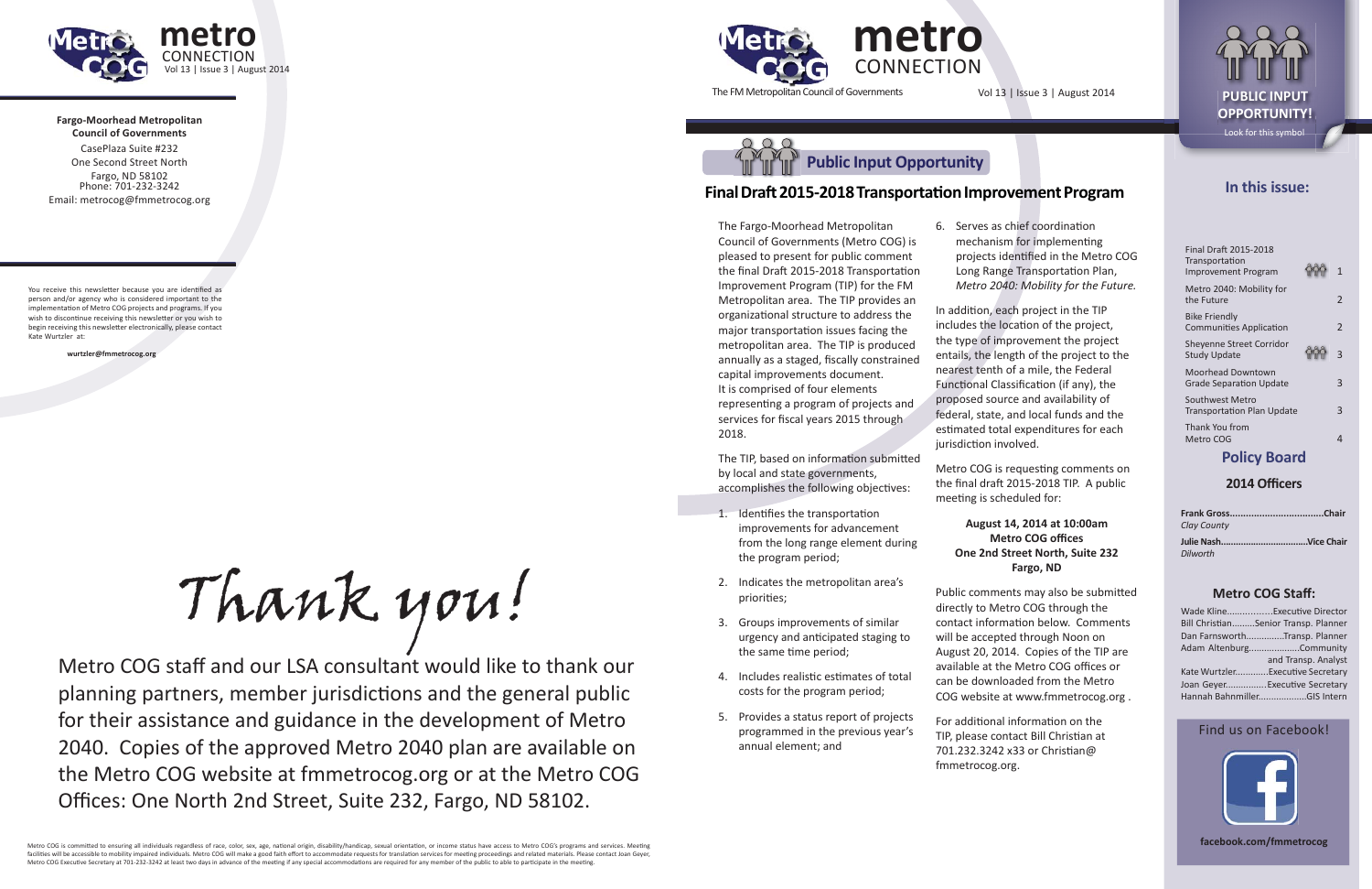

**Fargo-Moorhead Metropolitan Council of Governments**CasePlaza Suite #232



One Second Street NorthFargo, ND 58102 Phone: 701-232-3242 Email: metrocog@fmmetrocog.org

You receive this newsletter because you are identified as person and/or agency who is considered important to the implementation of Metro COG projects and programs. If you wish to discontinue receiving this newsletter or you wish to begin receiving this newsletter electronically, please contact Kate Wurtzler at:

 **wurtzler@fmmetrocog.org**

The FM Metropolitan Council of Governments

# **In this issue:**

| <b>Final Draft 2015-2018</b><br>Transportation<br><b>Improvement Program</b> | $\mathbf{1}$ |
|------------------------------------------------------------------------------|--------------|
| Metro 2040: Mobility for<br>the Future                                       | 2            |
| Bike Friendly<br><b>Communities Application</b>                              | 2            |
| Sheyenne Street Corridor<br><b>Study Update</b>                              | 3            |
| <b>Moorhead Downtown</b><br><b>Grade Separation Update</b>                   | 3            |
| Southwest Metro<br><b>Transportation Plan Update</b>                         | 3            |
| Thank You from<br>Metro COG                                                  |              |
|                                                                              |              |

# **Policy Board**

#### **2014 Offi cers**

- 1. Identifies the transportation improvements for advancement from the long range element during the program period;
- 2. Indicates the metropolitan area's priorities;
- 3. Groups improvements of similar urgency and anticipated staging to the same time period;
- 4. Includes realistic estimates of total costs for the program period;
- 5. Provides a status report of projects programmed in the previous year's annual element; and

In addition, each project in the TIP includes the location of the project, the type of improvement the project entails, the length of the project to the nearest tenth of a mile, the Federal Functional Classification (if any), the proposed source and availability of federal, state, and local funds and the estimated total expenditures for each jurisdiction involved.

Metro COG is requesting comments on the final draft 2015-2018 TIP. A public meeting is scheduled for:

| Clay County |  |
|-------------|--|
|             |  |
| Dilworth    |  |

6. Serves as chief coordination mechanism for implementing projects identified in the Metro COG Long Range Transportation Plan, *Metro 2040: Mobility for the Future.*

#### **Metro COG Staff :**

| Wade KlineExecutive Director         |                     |
|--------------------------------------|---------------------|
| Bill ChristianSenior Transp. Planner |                     |
| Dan FarnsworthTransp. Planner        |                     |
| Adam AltenburgCommunity              |                     |
|                                      | and Transp. Analyst |
| Kate WurtzlerExecutive Secretary     |                     |
| Joan GeyerExecutive Secretary        |                     |
| Hannah BahnmillerGIS Intern          |                     |
|                                      |                     |

#### Find us on Facebook!



**facebook.com/fmmetrocog**

Vol 13 | Issue 3 | August 2014 **PUBLIC INPUT** 

# **Final Draft 2015-2018 Transportation Improvement Program**

Public comments may also be submitted directly to Metro COG through the contact information below. Comments will be accepted through Noon on August 20, 2014. Copies of the TIP are available at the Metro COG offices or can be downloaded from the Metro COG website at www.fmmetrocog.org .

**OPPORTUNITY!**Look for this symbol

For additional information on the TIP, please contact Bill Christian at 701.232.3242 x33 or Christian@ fmmetrocog.org.

Metro COG staff and our LSA consultant would like to thank our planning partners, member jurisdictions and the general public for their assistance and guidance in the development of Metro 2040. Copies of the approved Metro 2040 plan are available on the Metro COG website at fmmetrocog.org or at the Metro COG Offices: One North 2nd Street, Suite 232, Fargo, ND 58102.

Metro COG is committed to ensuring all individuals regardless of race, color, sex, age, national origin, disability/handicap, sexual orientation, or income status have access to Metro COG's programs and services. Meeting facilities will be accessible to mobility impaired individuals. Metro COG will make a good faith effort to accommodate requests for translation services for meeting proceedings and related materials. Please contact Joan Ge Metro COG Executive Secretary at 701-232-3242 at least two days in advance of the meeting if any special accommodations are required for any member of the public to able to participate in the meeting.

The Fargo-Moorhead Metropolitan Council of Governments (Metro COG) is pleased to present for public comment the final Draft 2015-2018 Transportation Improvement Program (TIP) for the FM Metropolitan area. The TIP provides an organizational structure to address the major transportation issues facing the metropolitan area. The TIP is produced annually as a staged, fiscally constrained capital improvements document. It is comprised of four elements representing a program of projects and services for fiscal years 2015 through 2018.

The TIP, based on information submitted by local and state governments, accomplishes the following objectives:

#### **August 14, 2014 at 10:00am Metro COG offices One 2nd Street North, Suite 232 Fargo, ND**

Thank you!